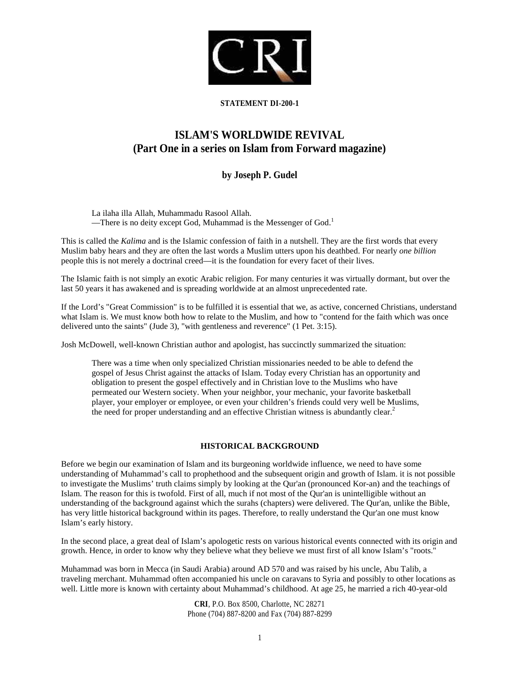

# **STATEMENT DI-200-1**

# **ISLAM'S WORLDWIDE REVIVAL (Part One in a series on Islam from Forward magazine)**

# **by Joseph P. Gudel**

La ilaha illa Allah, Muhammadu Rasool Allah. —There is no deity except God, Muhammad is the Messenger of God.<sup>1</sup>

This is called the *Kalima* and is the Islamic confession of faith in a nutshell. They are the first words that every Muslim baby hears and they are often the last words a Muslim utters upon his deathbed. For nearly *one billion* people this is not merely a doctrinal creed—it is the foundation for every facet of their lives.

The Islamic faith is not simply an exotic Arabic religion. For many centuries it was virtually dormant, but over the last 50 years it has awakened and is spreading worldwide at an almost unprecedented rate.

If the Lord's "Great Commission" is to be fulfilled it is essential that we, as active, concerned Christians, understand what Islam is. We must know both how to relate to the Muslim, and how to "contend for the faith which was once delivered unto the saints" (Jude 3), "with gentleness and reverence" (1 Pet. 3:15).

Josh McDowell, well-known Christian author and apologist, has succinctly summarized the situation:

There was a time when only specialized Christian missionaries needed to be able to defend the gospel of Jesus Christ against the attacks of Islam. Today every Christian has an opportunity and obligation to present the gospel effectively and in Christian love to the Muslims who have permeated our Western society. When your neighbor, your mechanic, your favorite basketball player, your employer or employee, or even your children's friends could very well be Muslims, the need for proper understanding and an effective Christian witness is abundantly clear.<sup>2</sup>

# **HISTORICAL BACKGROUND**

Before we begin our examination of Islam and its burgeoning worldwide influence, we need to have some understanding of Muhammad's call to prophethood and the subsequent origin and growth of Islam. it is not possible to investigate the Muslims' truth claims simply by looking at the Qur'an (pronounced Kor-an) and the teachings of Islam. The reason for this is twofold. First of all, much if not most of the Qur'an is unintelligible without an understanding of the background against which the surahs (chapters) were delivered. The Qur'an, unlike the Bible, has very little historical background within its pages. Therefore, to really understand the Qur'an one must know Islam's early history.

In the second place, a great deal of Islam's apologetic rests on various historical events connected with its origin and growth. Hence, in order to know why they believe what they believe we must first of all know Islam's "roots."

Muhammad was born in Mecca (in Saudi Arabia) around AD 570 and was raised by his uncle, Abu Talib, a traveling merchant. Muhammad often accompanied his uncle on caravans to Syria and possibly to other locations as well. Little more is known with certainty about Muhammad's childhood. At age 25, he married a rich 40-year-old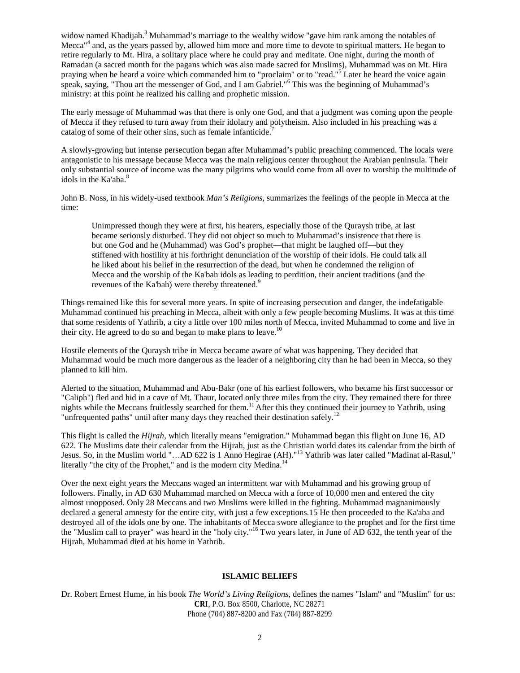widow named Khadijah.<sup>3</sup> Muhammad's marriage to the wealthy widow "gave him rank among the notables of Mecca<sup>"4</sup> and, as the years passed by, allowed him more and more time to devote to spiritual matters. He began to retire regularly to Mt. Hira, a solitary place where he could pray and meditate. One night, during the month of Ramadan (a sacred month for the pagans which was also made sacred for Muslims), Muhammad was on Mt. Hira praying when he heard a voice which commanded him to "proclaim" or to "read."<sup>5</sup> Later he heard the voice again speak, saying, "Thou art the messenger of God, and I am Gabriel."<sup>6</sup> This was the beginning of Muhammad's ministry: at this point he realized his calling and prophetic mission.

The early message of Muhammad was that there is only one God, and that a judgment was coming upon the people of Mecca if they refused to turn away from their idolatry and polytheism. Also included in his preaching was a catalog of some of their other sins, such as female infanticide.<sup>7</sup>

A slowly-growing but intense persecution began after Muhammad's public preaching commenced. The locals were antagonistic to his message because Mecca was the main religious center throughout the Arabian peninsula. Their only substantial source of income was the many pilgrims who would come from all over to worship the multitude of idols in the Ka'aba.<sup>8</sup>

John B. Noss, in his widely-used textbook *Man's Religions*, summarizes the feelings of the people in Mecca at the time:

Unimpressed though they were at first, his hearers, especially those of the Quraysh tribe, at last became seriously disturbed. They did not object so much to Muhammad's insistence that there is but one God and he (Muhammad) was God's prophet—that might be laughed off—but they stiffened with hostility at his forthright denunciation of the worship of their idols. He could talk all he liked about his belief in the resurrection of the dead, but when he condemned the religion of Mecca and the worship of the Ka'bah idols as leading to perdition, their ancient traditions (and the revenues of the Ka'bah) were thereby threatened.<sup>9</sup>

Things remained like this for several more years. In spite of increasing persecution and danger, the indefatigable Muhammad continued his preaching in Mecca, albeit with only a few people becoming Muslims. It was at this time that some residents of Yathrib, a city a little over 100 miles north of Mecca, invited Muhammad to come and live in their city. He agreed to do so and began to make plans to leave.<sup>10</sup>

Hostile elements of the Quraysh tribe in Mecca became aware of what was happening. They decided that Muhammad would be much more dangerous as the leader of a neighboring city than he had been in Mecca, so they planned to kill him.

Alerted to the situation, Muhammad and Abu-Bakr (one of his earliest followers, who became his first successor or "Caliph") fled and hid in a cave of Mt. Thaur, located only three miles from the city. They remained there for three nights while the Meccans fruitlessly searched for them.<sup>11</sup> After this they continued their journey to Yathrib, using "unfrequented paths" until after many days they reached their destination safely.<sup>12</sup>

This flight is called the *Hijrah*, which literally means "emigration." Muhammad began this flight on June 16, AD 622. The Muslims date their calendar from the Hijrah, just as the Christian world dates its calendar from the birth of Jesus. So, in the Muslim world "…AD 622 is 1 Anno Hegirae (AH)."<sup>13</sup> Yathrib was later called "Madinat al-Rasul," literally "the city of the Prophet," and is the modern city Medina.<sup>14</sup>

Over the next eight years the Meccans waged an intermittent war with Muhammad and his growing group of followers. Finally, in AD 630 Muhammad marched on Mecca with a force of 10,000 men and entered the city almost unopposed. Only 28 Meccans and two Muslims were killed in the fighting. Muhammad magnanimously declared a general amnesty for the entire city, with just a few exceptions.15 He then proceeded to the Ka'aba and destroyed all of the idols one by one. The inhabitants of Mecca swore allegiance to the prophet and for the first time the "Muslim call to prayer" was heard in the "holy city."<sup>16</sup> Two years later, in June of AD 632, the tenth year of the Hijrah, Muhammad died at his home in Yathrib.

#### **ISLAMIC BELIEFS**

**CRI**, P.O. Box 8500, Charlotte, NC 28271 Phone (704) 887-8200 and Fax (704) 887-8299 Dr. Robert Ernest Hume, in his book *The World's Living Religions*, defines the names "Islam" and "Muslim" for us: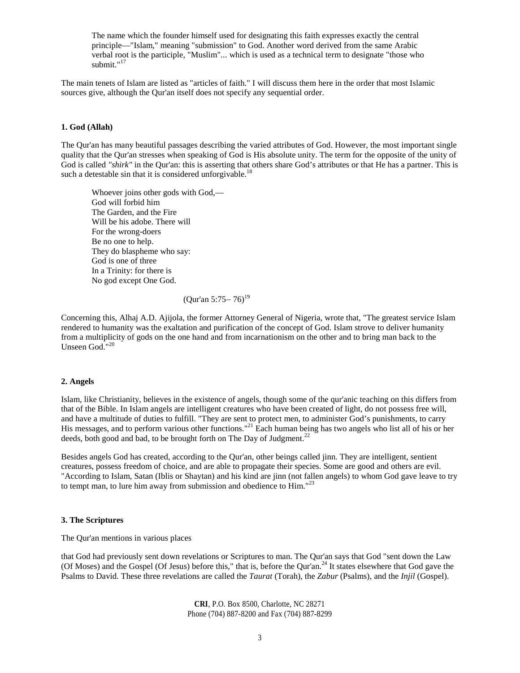The name which the founder himself used for designating this faith expresses exactly the central principle—"Islam," meaning "submission" to God. Another word derived from the same Arabic verbal root is the participle, "Muslim"... which is used as a technical term to designate "those who submit." $17$ 

The main tenets of Islam are listed as "articles of faith." I will discuss them here in the order that most Islamic sources give, although the Qur'an itself does not specify any sequential order.

#### **1. God (Allah)**

The Qur'an has many beautiful passages describing the varied attributes of God. However, the most important single quality that the Qur'an stresses when speaking of God is His absolute unity. The term for the opposite of the unity of God is called "shirk" in the Qur'an: this is asserting that others share God's attributes or that He has a partner. This is such a detestable sin that it is considered unforgivable.<sup>18</sup>

Whoever joins other gods with God,— God will forbid him The Garden, and the Fire Will be his adobe. There will For the wrong-doers Be no one to help. They do blaspheme who say: God is one of three In a Trinity: for there is No god except One God.

# (Qur'an 5:75 – 76)<sup>19</sup>

Concerning this, Alhaj A.D. Ajijola, the former Attorney General of Nigeria, wrote that, "The greatest service Islam rendered to humanity was the exaltation and purification of the concept of God. Islam strove to deliver humanity from a multiplicity of gods on the one hand and from incarnationism on the other and to bring man back to the Unseen God."<sup>20</sup>

#### **2. Angels**

Islam, like Christianity, believes in the existence of angels, though some of the qur'anic teaching on this differs from that of the Bible. In Islam angels are intelligent creatures who have been created of light, do not possess free will, and have a multitude of duties to fulfill. "They are sent to protect men, to administer God's punishments, to carry His messages, and to perform various other functions."<sup>21</sup> Each human being has two angels who list all of his or her deeds, both good and bad, to be brought forth on The Day of Judgment.<sup>22</sup>

Besides angels God has created, according to the Qur'an, other beings called jinn. They are intelligent, sentient creatures, possess freedom of choice, and are able to propagate their species. Some are good and others are evil. "According to Islam, Satan (Iblis or Shaytan) and his kind are jinn (not fallen angels) to whom God gave leave to try to tempt man, to lure him away from submission and obedience to Him."<sup>23</sup>

#### **3. The Scriptures**

The Qur'an mentions in various places

that God had previously sent down revelations or Scriptures to man. The Qur'an says that God "sent down the Law (Of Moses) and the Gospel (Of Jesus) before this," that is, before the Qur'an.<sup>24</sup> It states elsewhere that God gave the Psalms to David. These three revelations are called the *Taurat* (Torah), the *Zabur* (Psalms), and the *Injil* (Gospel).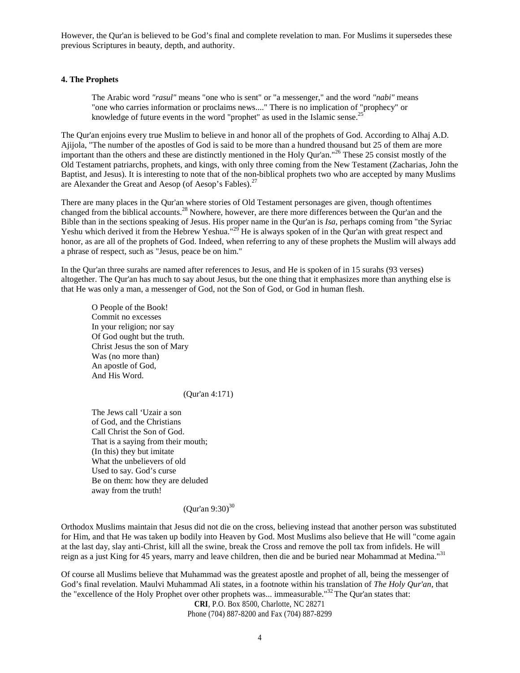However, the Qur'an is believed to be God's final and complete revelation to man. For Muslims it supersedes these previous Scriptures in beauty, depth, and authority.

### **4. The Prophets**

The Arabic word *"rasul"* means "one who is sent" or "a messenger," and the word *"nabi"* means "one who carries information or proclaims news...." There is no implication of "prophecy" or knowledge of future events in the word "prophet" as used in the Islamic sense. $25$ 

The Qur'an enjoins every true Muslim to believe in and honor all of the prophets of God. According to Alhaj A.D. Ajijola, "The number of the apostles of God is said to be more than a hundred thousand but 25 of them are more important than the others and these are distinctly mentioned in the Holy Qur'an."<sup>26</sup> These 25 consist mostly of the Old Testament patriarchs, prophets, and kings, with only three coming from the New Testament (Zacharias, John the Baptist, and Jesus). It is interesting to note that of the non-biblical prophets two who are accepted by many Muslims are Alexander the Great and Aesop (of Aesop's Fables).<sup>27</sup>

There are many places in the Qur'an where stories of Old Testament personages are given, though oftentimes changed from the biblical accounts.<sup>28</sup> Nowhere, however, are there more differences between the Our'an and the Bible than in the sections speaking of Jesus. His proper name in the Qur'an is *Isa*, perhaps coming from "the Syriac Yeshu which derived it from the Hebrew Yeshua."<sup>29</sup> He is always spoken of in the Qur'an with great respect and honor, as are all of the prophets of God. Indeed, when referring to any of these prophets the Muslim will always add a phrase of respect, such as "Jesus, peace be on him."

In the Qur'an three surahs are named after references to Jesus, and He is spoken of in 15 surahs (93 verses) altogether. The Qur'an has much to say about Jesus, but the one thing that it emphasizes more than anything else is that He was only a man, a messenger of God, not the Son of God, or God in human flesh.

O People of the Book! Commit no excesses In your religion; nor say Of God ought but the truth. Christ Jesus the son of Mary Was (no more than) An apostle of God, And His Word.

(Qur'an 4:171)

The Jews call 'Uzair a son of God, and the Christians Call Christ the Son of God. That is a saying from their mouth; (In this) they but imitate What the unbelievers of old Used to say. God's curse Be on them: how they are deluded away from the truth!

# $(Our'an 9:30)^{30}$

Orthodox Muslims maintain that Jesus did not die on the cross, believing instead that another person was substituted for Him, and that He was taken up bodily into Heaven by God. Most Muslims also believe that He will "come again at the last day, slay anti-Christ, kill all the swine, break the Cross and remove the poll tax from infidels. He will reign as a just King for 45 years, marry and leave children, then die and be buried near Mohammad at Medina."<sup>31</sup>

Of course all Muslims believe that Muhammad was the greatest apostle and prophet of all, being the messenger of God's final revelation. Maulvi Muhammad Ali states, in a footnote within his translation of *The Holy Qur'an*, that the "excellence of the Holy Prophet over other prophets was... immeasurable."<sup>32</sup> The Qur'an states that: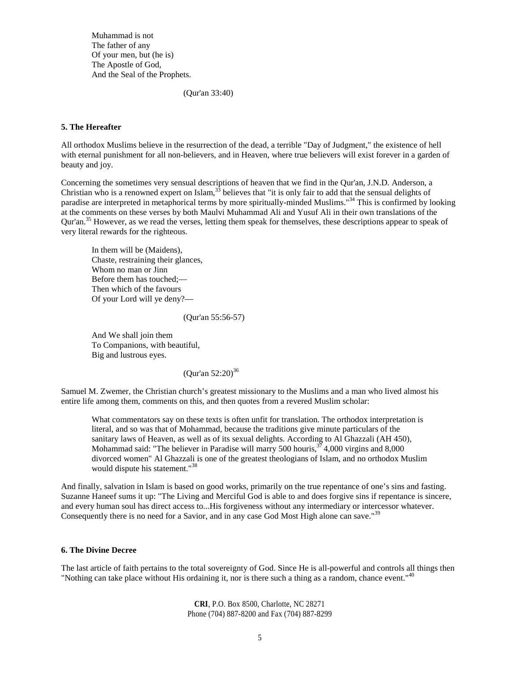Muhammad is not The father of any Of your men, but (he is) The Apostle of God, And the Seal of the Prophets.

(Qur'an 33:40)

## **5. The Hereafter**

All orthodox Muslims believe in the resurrection of the dead, a terrible "Day of Judgment," the existence of hell with eternal punishment for all non-believers, and in Heaven, where true believers will exist forever in a garden of beauty and joy.

Concerning the sometimes very sensual descriptions of heaven that we find in the Qur'an, J.N.D. Anderson, a Christian who is a renowned expert on Islam,<sup>33</sup> believes that "it is only fair to add that the sensual delights of paradise are interpreted in metaphorical terms by more spiritually-minded Muslims."<sup>34</sup> This is confirmed by looking at the comments on these verses by both Maulvi Muhammad Ali and Yusuf Ali in their own translations of the Qur'an.<sup>35</sup> However, as we read the verses, letting them speak for themselves, these descriptions appear to speak of very literal rewards for the righteous.

In them will be (Maidens), Chaste, restraining their glances, Whom no man or Jinn Before them has touched;— Then which of the favours Of your Lord will ye deny?—

(Qur'an 55:56-57)

And We shall join them To Companions, with beautiful, Big and lustrous eyes.

 $(Our'an 52:20)^{36}$ 

Samuel M. Zwemer, the Christian church's greatest missionary to the Muslims and a man who lived almost his entire life among them, comments on this, and then quotes from a revered Muslim scholar:

What commentators say on these texts is often unfit for translation. The orthodox interpretation is literal, and so was that of Mohammad, because the traditions give minute particulars of the sanitary laws of Heaven, as well as of its sexual delights. According to Al Ghazzali (AH 450), Mohammad said: "The believer in Paradise will marry 500 houris,  $37/4,000$  virgins and 8,000 divorced women" Al Ghazzali is one of the greatest theologians of Islam, and no orthodox Muslim would dispute his statement."<sup>38</sup>

And finally, salvation in Islam is based on good works, primarily on the true repentance of one's sins and fasting. Suzanne Haneef sums it up: "The Living and Merciful God is able to and does forgive sins if repentance is sincere, and every human soul has direct access to...His forgiveness without any intermediary or intercessor whatever. Consequently there is no need for a Savior, and in any case God Most High alone can save."<sup>39</sup>

#### **6. The Divine Decree**

The last article of faith pertains to the total sovereignty of God. Since He is all-powerful and controls all things then "Nothing can take place without His ordaining it, nor is there such a thing as a random, chance event."<sup>40</sup>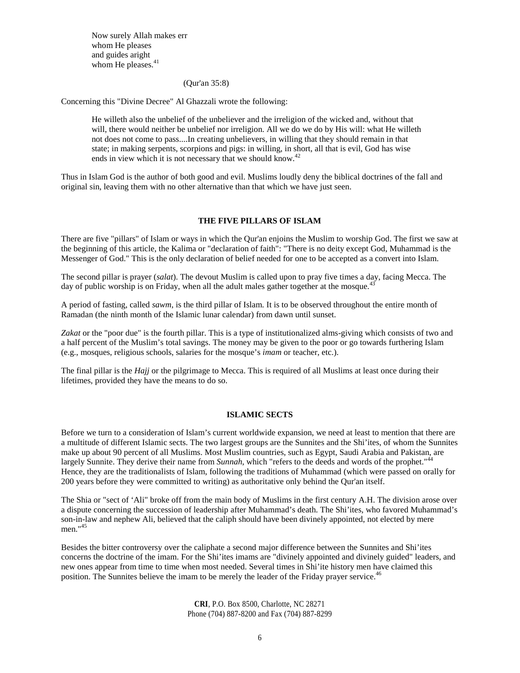Now surely Allah makes err whom He pleases and guides aright whom He pleases.<sup>41</sup>

#### (Qur'an 35:8)

Concerning this "Divine Decree" Al Ghazzali wrote the following:

He willeth also the unbelief of the unbeliever and the irreligion of the wicked and, without that will, there would neither be unbelief nor irreligion. All we do we do by His will: what He willeth not does not come to pass....In creating unbelievers, in willing that they should remain in that state; in making serpents, scorpions and pigs: in willing, in short, all that is evil, God has wise ends in view which it is not necessary that we should know.<sup>42</sup>

Thus in Islam God is the author of both good and evil. Muslims loudly deny the biblical doctrines of the fall and original sin, leaving them with no other alternative than that which we have just seen.

#### **THE FIVE PILLARS OF ISLAM**

There are five "pillars" of Islam or ways in which the Qur'an enjoins the Muslim to worship God. The first we saw at the beginning of this article, the Kalima or "declaration of faith": "There is no deity except God, Muhammad is the Messenger of God." This is the only declaration of belief needed for one to be accepted as a convert into Islam.

The second pillar is prayer (*salat*). The devout Muslim is called upon to pray five times a day, facing Mecca. The day of public worship is on Friday, when all the adult males gather together at the mosque.<sup>43</sup>

A period of fasting, called *sawm*, is the third pillar of Islam. It is to be observed throughout the entire month of Ramadan (the ninth month of the Islamic lunar calendar) from dawn until sunset.

*Zakat* or the "poor due" is the fourth pillar. This is a type of institutionalized alms-giving which consists of two and a half percent of the Muslim's total savings. The money may be given to the poor or go towards furthering Islam (e.g., mosques, religious schools, salaries for the mosque's *imam* or teacher, etc.).

The final pillar is the *Hajj* or the pilgrimage to Mecca. This is required of all Muslims at least once during their lifetimes, provided they have the means to do so.

#### **ISLAMIC SECTS**

Before we turn to a consideration of Islam's current worldwide expansion, we need at least to mention that there are a multitude of different Islamic sects. The two largest groups are the Sunnites and the Shi'ites, of whom the Sunnites make up about 90 percent of all Muslims. Most Muslim countries, such as Egypt, Saudi Arabia and Pakistan, are largely Sunnite. They derive their name from *Sunnah*, which "refers to the deeds and words of the prophet."<sup>44</sup> Hence, they are the traditionalists of Islam, following the traditions of Muhammad (which were passed on orally for 200 years before they were committed to writing) as authoritative only behind the Qur'an itself.

The Shia or "sect of 'Ali" broke off from the main body of Muslims in the first century A.H. The division arose over a dispute concerning the succession of leadership after Muhammad's death. The Shi'ites, who favored Muhammad's son-in-law and nephew Ali, believed that the caliph should have been divinely appointed, not elected by mere men."<sup>45</sup>

Besides the bitter controversy over the caliphate a second major difference between the Sunnites and Shi'ites concerns the doctrine of the imam. For the Shi'ites imams are "divinely appointed and divinely guided" leaders, and new ones appear from time to time when most needed. Several times in Shi'ite history men have claimed this position. The Sunnites believe the imam to be merely the leader of the Friday prayer service.<sup>46</sup>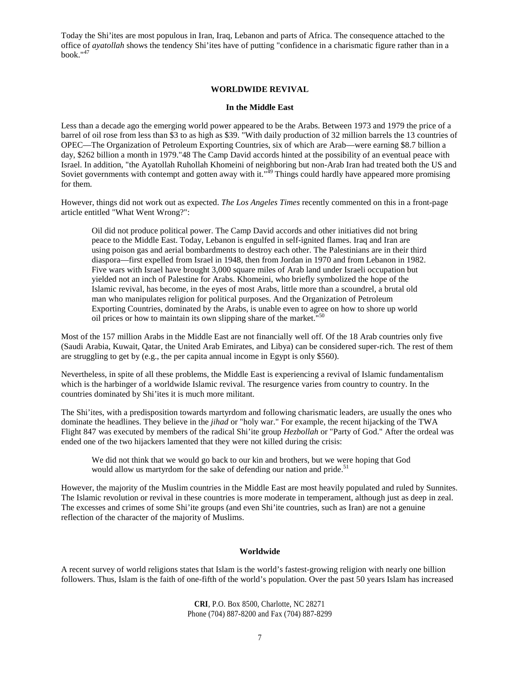Today the Shi'ites are most populous in Iran, Iraq, Lebanon and parts of Africa. The consequence attached to the office of *ayatollah* shows the tendency Shi'ites have of putting "confidence in a charismatic figure rather than in a book."<sup>47</sup>

## **WORLDWIDE REVIVAL**

#### **In the Middle East**

Less than a decade ago the emerging world power appeared to be the Arabs. Between 1973 and 1979 the price of a barrel of oil rose from less than \$3 to as high as \$39. "With daily production of 32 million barrels the 13 countries of OPEC—The Organization of Petroleum Exporting Countries, six of which are Arab—were earning \$8.7 billion a day, \$262 billion a month in 1979."48 The Camp David accords hinted at the possibility of an eventual peace with Israel. In addition, "the Ayatollah Ruhollah Khomeini of neighboring but non-Arab Iran had treated both the US and Soviet governments with contempt and gotten away with it."<sup>49</sup> Things could hardly have appeared more promising for them.

However, things did not work out as expected. *The Los Angeles Times* recently commented on this in a front-page article entitled "What Went Wrong?":

Oil did not produce political power. The Camp David accords and other initiatives did not bring peace to the Middle East. Today, Lebanon is engulfed in self-ignited flames. Iraq and Iran are using poison gas and aerial bombardments to destroy each other. The Palestinians are in their third diaspora—first expelled from Israel in 1948, then from Jordan in 1970 and from Lebanon in 1982. Five wars with Israel have brought 3,000 square miles of Arab land under Israeli occupation but yielded not an inch of Palestine for Arabs. Khomeini, who briefly symbolized the hope of the Islamic revival, has become, in the eyes of most Arabs, little more than a scoundrel, a brutal old man who manipulates religion for political purposes. And the Organization of Petroleum Exporting Countries, dominated by the Arabs, is unable even to agree on how to shore up world oil prices or how to maintain its own slipping share of the market."<sup>50</sup>

Most of the 157 million Arabs in the Middle East are not financially well off. Of the 18 Arab countries only five (Saudi Arabia, Kuwait, Qatar, the United Arab Emirates, and Libya) can be considered super-rich. The rest of them are struggling to get by (e.g., the per capita annual income in Egypt is only \$560).

Nevertheless, in spite of all these problems, the Middle East is experiencing a revival of Islamic fundamentalism which is the harbinger of a worldwide Islamic revival. The resurgence varies from country to country. In the countries dominated by Shi'ites it is much more militant.

The Shi'ites, with a predisposition towards martyrdom and following charismatic leaders, are usually the ones who dominate the headlines. They believe in the *jihad* or "holy war." For example, the recent hijacking of the TWA Flight 847 was executed by members of the radical Shi'ite group *Hezbollah* or "Party of God." After the ordeal was ended one of the two hijackers lamented that they were not killed during the crisis:

We did not think that we would go back to our kin and brothers, but we were hoping that God would allow us martyrdom for the sake of defending our nation and pride.<sup>51</sup>

However, the majority of the Muslim countries in the Middle East are most heavily populated and ruled by Sunnites. The Islamic revolution or revival in these countries is more moderate in temperament, although just as deep in zeal. The excesses and crimes of some Shi'ite groups (and even Shi'ite countries, such as Iran) are not a genuine reflection of the character of the majority of Muslims.

#### **Worldwide**

A recent survey of world religions states that Islam is the world's fastest-growing religion with nearly one billion followers. Thus, Islam is the faith of one-fifth of the world's population. Over the past 50 years Islam has increased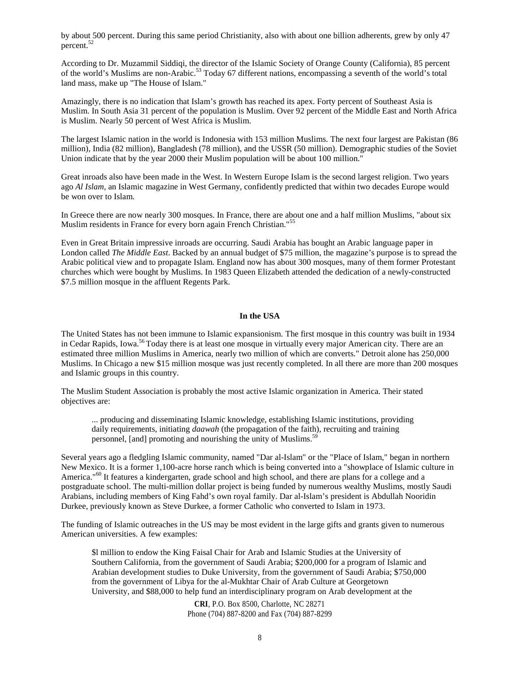by about 500 percent. During this same period Christianity, also with about one billion adherents, grew by only 47  $p^{52}$ 

According to Dr. Muzammil Siddiqi, the director of the Islamic Society of Orange County (California), 85 percent of the world's Muslims are non-Arabic.<sup>53</sup> Today 67 different nations, encompassing a seventh of the world's total land mass, make up "The House of Islam."

Amazingly, there is no indication that Islam's growth has reached its apex. Forty percent of Southeast Asia is Muslim. In South Asia 31 percent of the population is Muslim. Over 92 percent of the Middle East and North Africa is Muslim. Nearly 50 percent of West Africa is Muslim.

The largest Islamic nation in the world is Indonesia with 153 million Muslims. The next four largest are Pakistan (86 million), India (82 million), Bangladesh (78 million), and the USSR (50 million). Demographic studies of the Soviet Union indicate that by the year 2000 their Muslim population will be about 100 million."

Great inroads also have been made in the West. In Western Europe Islam is the second largest religion. Two years ago *Al Islam*, an Islamic magazine in West Germany, confidently predicted that within two decades Europe would be won over to Islam.

In Greece there are now nearly 300 mosques. In France, there are about one and a half million Muslims, "about six Muslim residents in France for every born again French Christian."<sup>55</sup>

Even in Great Britain impressive inroads are occurring. Saudi Arabia has bought an Arabic language paper in London called *The Middle East*. Backed by an annual budget of \$75 million, the magazine's purpose is to spread the Arabic political view and to propagate Islam. England now has about 300 mosques, many of them former Protestant churches which were bought by Muslims. In 1983 Queen Elizabeth attended the dedication of a newly-constructed \$7.5 million mosque in the affluent Regents Park.

#### **In the USA**

The United States has not been immune to Islamic expansionism. The first mosque in this country was built in 1934 in Cedar Rapids, Iowa.<sup>56</sup> Today there is at least one mosque in virtually every major American city. There are an estimated three million Muslims in America, nearly two million of which are converts." Detroit alone has 250,000 Muslims. In Chicago a new \$15 million mosque was just recently completed. In all there are more than 200 mosques and Islamic groups in this country.

The Muslim Student Association is probably the most active Islamic organization in America. Their stated objectives are:

... producing and disseminating Islamic knowledge, establishing Islamic institutions, providing daily requirements, initiating *daawah* (the propagation of the faith), recruiting and training personnel, [and] promoting and nourishing the unity of Muslims.<sup>59</sup>

Several years ago a fledgling Islamic community, named "Dar al-Islam" or the "Place of Islam," began in northern New Mexico. It is a former 1,100-acre horse ranch which is being converted into a "showplace of Islamic culture in America."<sup>60</sup> It features a kindergarten, grade school and high school, and there are plans for a college and a postgraduate school. The multi-million dollar project is being funded by numerous wealthy Muslims, mostly Saudi Arabians, including members of King Fahd's own royal family. Dar al-Islam's president is Abdullah Nooridin Durkee, previously known as Steve Durkee, a former Catholic who converted to Islam in 1973.

The funding of Islamic outreaches in the US may be most evident in the large gifts and grants given to numerous American universities. A few examples:

\$l million to endow the King Faisal Chair for Arab and Islamic Studies at the University of Southern California, from the government of Saudi Arabia; \$200,000 for a program of Islamic and Arabian development studies to Duke University, from the government of Saudi Arabia; \$750,000 from the government of Libya for the al-Mukhtar Chair of Arab Culture at Georgetown University, and \$88,000 to help fund an interdisciplinary program on Arab development at the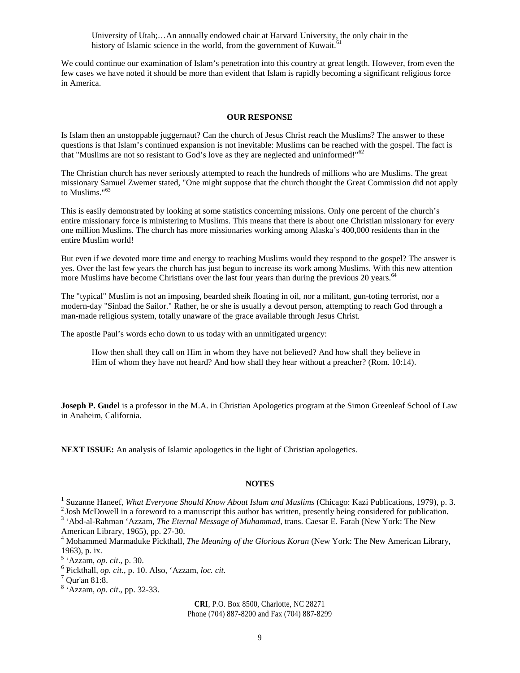University of Utah;…An annually endowed chair at Harvard University, the only chair in the history of Islamic science in the world, from the government of Kuwait.<sup> $\theta$ </sup>

We could continue our examination of Islam's penetration into this country at great length. However, from even the few cases we have noted it should be more than evident that Islam is rapidly becoming a significant religious force in America.

## **OUR RESPONSE**

Is Islam then an unstoppable juggernaut? Can the church of Jesus Christ reach the Muslims? The answer to these questions is that Islam's continued expansion is not inevitable: Muslims can be reached with the gospel. The fact is that "Muslims are not so resistant to God's love as they are neglected and uninformed!"<sup>62</sup>

The Christian church has never seriously attempted to reach the hundreds of millions who are Muslims. The great missionary Samuel Zwemer stated, "One might suppose that the church thought the Great Commission did not apply to Muslims."<sup>63</sup>

This is easily demonstrated by looking at some statistics concerning missions. Only one percent of the church's entire missionary force is ministering to Muslims. This means that there is about one Christian missionary for every one million Muslims. The church has more missionaries working among Alaska's 400,000 residents than in the entire Muslim world!

But even if we devoted more time and energy to reaching Muslims would they respond to the gospel? The answer is yes. Over the last few years the church has just begun to increase its work among Muslims. With this new attention more Muslims have become Christians over the last four years than during the previous 20 years.<sup>64</sup>

The "typical" Muslim is not an imposing, bearded sheik floating in oil, nor a militant, gun-toting terrorist, nor a modern-day "Sinbad the Sailor." Rather, he or she is usually a devout person, attempting to reach God through a man-made religious system, totally unaware of the grace available through Jesus Christ.

The apostle Paul's words echo down to us today with an unmitigated urgency:

How then shall they call on Him in whom they have not believed? And how shall they believe in Him of whom they have not heard? And how shall they hear without a preacher? (Rom. 10:14).

**Joseph P. Gudel** is a professor in the M.A. in Christian Apologetics program at the Simon Greenleaf School of Law in Anaheim, California.

**NEXT ISSUE:** An analysis of Islamic apologetics in the light of Christian apologetics.

#### **NOTES**

 $<sup>2</sup>$  Josh McDowell in a foreword to a manuscript this author has written, presently being considered for publication.</sup>

<sup>3</sup> 'Abd-al-Rahman 'Azzam, *The Eternal Message of Muhammad*, trans. Caesar E. Farah (New York: The New American Library, 1965), pp. 27-30.

<sup>4</sup> Mohammed Marmaduke Pickthall, *The Meaning of the Glorious Koran* (New York: The New American Library, 1963), p. ix.

5 'Azzam, *op. cit*., p. 30.

<sup>&</sup>lt;sup>1</sup> Suzanne Haneef, *What Everyone Should Know About Islam and Muslims* (Chicago: Kazi Publications, 1979), p. 3.

<sup>6</sup> Pickthall, *op. cit.*, p. 10. Also, 'Azzam, *loc. cit.*

 $^7$  Qur'an 81:8.

<sup>8</sup> 'Azzam, *op. cit*., pp. 32-33.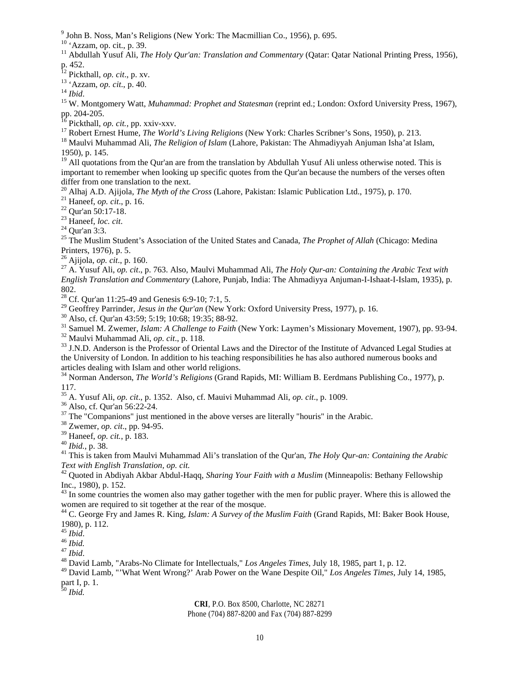John B. Noss, Man's Religions (New York: The Macmillian Co., 1956), p. 695.

<sup>10</sup> 'Azzam, op. cit., p. 39.

<sup>11</sup> Abdullah Yusuf Ali, *The Holy Qur'an: Translation and Commentary* (Qatar: Qatar National Printing Press, 1956), p. 452.

Pickthall, *op. cit*., p. xv.

'Azzam, *op. cit*., p. 40.

*Ibid*.

 W. Montgomery Watt, *Muhammad: Prophet and Statesman* (reprint ed.; London: Oxford University Press, 1967), pp. 204-205.

Pickthall, *op. cit.*, pp. xxiv-xxv.

<sup>17</sup> Robert Ernest Hume, *The World's Living Religions* (New York: Charles Scribner's Sons, 1950), p. 213.

 Maulvi Muhammad Ali, *The Religion of Islam* (Lahore, Pakistan: The Ahmadiyyah Anjuman Isha'at Islam, 1950), p. 145.

 All quotations from the Qur'an are from the translation by Abdullah Yusuf Ali unless otherwise noted. This is important to remember when looking up specific quotes from the Qur'an because the numbers of the verses often differ from one translation to the next.

Alhaj A.D. Ajijola, *The Myth of the Cross* (Lahore, Pakistan: Islamic Publication Ltd., 1975), p. 170.

Haneef, *op. cit*., p. 16.

Qur'an 50:17-18.

Haneef, *loc. cit*.

Qur'an 3:3.

 The Muslim Student's Association of the United States and Canada, *The Prophet of Allah* (Chicago: Medina Printers, 1976), p. 5.

Ajijola, *op. cit*., p. 160.

 A. Yusuf Ali, *op. cit*., p. 763. Also, Maulvi Muhammad Ali, *The Holy Qur-an: Containing the Arabic Text with English Translation and Commentary* (Lahore, Punjab, India: The Ahmadiyya Anjuman-I-Ishaat-I-Islam, 1935), p. 802.

<sup>28</sup> Cf. Qur'an 11:25-49 and Genesis 6:9-10; 7:1, 5.

Geoffrey Parrinder, *Jesus in the Qur'an* (New York: Oxford University Press, 1977), p. 16.

Also, cf. Qur'an 43:59; 5:19; 10:68; 19:35; 88-92.

Samuel M. Zwemer, *Islam: A Challenge to Faith* (New York: Laymen's Missionary Movement, 1907), pp. 93-94.

Maulvi Muhammad Ali, *op. cit*., p. 118.

 J.N.D. Anderson is the Professor of Oriental Laws and the Director of the Institute of Advanced Legal Studies at the University of London. In addition to his teaching responsibilities he has also authored numerous books and articles dealing with Islam and other world religions.

 Norman Anderson, *The World's Religions* (Grand Rapids, MI: William B. Eerdmans Publishing Co., 1977), p. 117.

A. Yusuf Ali, *op. cit*., p. 1352. Also, cf. Mauivi Muhammad Ali, *op. cit*., p. 1009.

Also, cf. Qur'an 56:22-24.

The "Companions" just mentioned in the above verses are literally "houris" in the Arabic.

Zwemer, *op. cit*., pp. 94-95.

Haneef, *op. cit.*, p. 183.

*Ibid.*, p. 38.

 This is taken from Maulvi Muhammad Ali's translation of the Qur'an, *The Holy Qur-an: Containing the Arabic Text with English Translation, op. cit.*

 Quoted in Abdiyah Akbar Abdul-Haqq, *Sharing Your Faith with a Muslim* (Minneapolis: Bethany Fellowship Inc., 1980), p. 152.

<sup>43</sup> In some countries the women also may gather together with the men for public prayer. Where this is allowed the women are required to sit together at the rear of the mosque.

 C. George Fry and James R. King, *Islam: A Survey of the Muslim Faith* (Grand Rapids, MI: Baker Book House, 1980), p. 112.

*Ibid*.

*Ibid.*

*Ibid*.

David Lamb, "Arabs-No Climate for Intellectuals," *Los Angeles Times*, July 18, 1985, part 1, p. 12.

 David Lamb, "'What Went Wrong?' Arab Power on the Wane Despite Oil," *Los Angeles Times*, July 14, 1985, part I, p. 1.

*Ibid.*

# **CRI**, P.O. Box 8500, Charlotte, NC 28271

Phone (704) 887-8200 and Fax (704) 887-8299